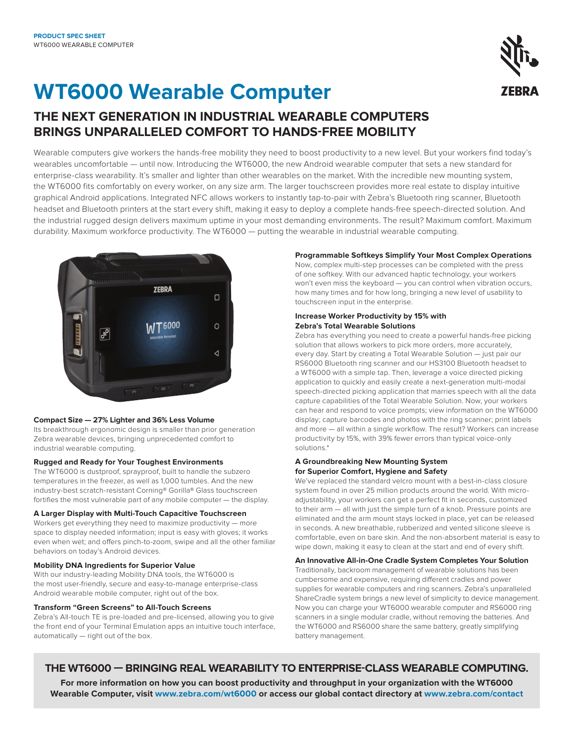# **WT6000 Wearable Computer**

**THE NEXT GENERATION IN INDUSTRIAL WEARABLE COMPUTERS BRINGS UNPARALLELED COMFORT TO HANDS-FREE MOBILITY**

Wearable computers give workers the hands-free mobility they need to boost productivity to a new level. But your workers find today's wearables uncomfortable — until now. Introducing the WT6000, the new Android wearable computer that sets a new standard for enterprise-class wearability. It's smaller and lighter than other wearables on the market. With the incredible new mounting system, the WT6000 fits comfortably on every worker, on any size arm. The larger touchscreen provides more real estate to display intuitive graphical Android applications. Integrated NFC allows workers to instantly tap-to-pair with Zebra's Bluetooth ring scanner, Bluetooth headset and Bluetooth printers at the start every shift, making it easy to deploy a complete hands-free speech-directed solution. And the industrial rugged design delivers maximum uptime in your most demanding environments. The result? Maximum comfort. Maximum durability. Maximum workforce productivity. The WT6000 — putting the wearable in industrial wearable computing.



### **Compact Size — 27% Lighter and 36% Less Volume**

Its breakthrough ergonomic design is smaller than prior generation Zebra wearable devices, bringing unprecedented comfort to industrial wearable computing.

### **Rugged and Ready for Your Toughest Environments**

The WT6000 is dustproof, sprayproof, built to handle the subzero temperatures in the freezer, as well as 1,000 tumbles. And the new industry-best scratch-resistant Corning® Gorilla® Glass touchscreen fortifies the most vulnerable part of any mobile computer — the display.

### **A Larger Display with Multi-Touch Capacitive Touchscreen**

Workers get everything they need to maximize productivity — more space to display needed information; input is easy with gloves; it works even when wet; and offers pinch-to-zoom, swipe and all the other familiar behaviors on today's Android devices.

### **Mobility DNA Ingredients for Superior Value**

With our industry-leading Mobility DNA tools, the WT6000 is the most user-friendly, secure and easy-to-manage enterprise-class Android wearable mobile computer, right out of the box.

### **Transform "Green Screens" to All-Touch Screens**

Zebra's All-touch TE is pre-loaded and pre-licensed, allowing you to give the front end of your Terminal Emulation apps an intuitive touch interface, automatically — right out of the box.

### **Programmable Softkeys Simplify Your Most Complex Operations**

Now, complex multi-step processes can be completed with the press of one softkey. With our advanced haptic technology, your workers won't even miss the keyboard — you can control when vibration occurs, how many times and for how long, bringing a new level of usability to touchscreen input in the enterprise.

### **Increase Worker Productivity by 15% with Zebra's Total Wearable Solutions**

Zebra has everything you need to create a powerful hands-free picking solution that allows workers to pick more orders, more accurately, every day. Start by creating a Total Wearable Solution — just pair our RS6000 Bluetooth ring scanner and our HS3100 Bluetooth headset to a WT6000 with a simple tap. Then, leverage a voice directed picking application to quickly and easily create a next-generation multi-modal speech-directed picking application that marries speech with all the data capture capabilities of the Total Wearable Solution. Now, your workers can hear and respond to voice prompts; view information on the WT6000 display; capture barcodes and photos with the ring scanner; print labels and more — all within a single workflow. The result? Workers can increase productivity by 15%, with 39% fewer errors than typical voice-only solutions.\*

### **A Groundbreaking New Mounting System for Superior Comfort, Hygiene and Safety**

We've replaced the standard velcro mount with a best-in-class closure system found in over 25 million products around the world. With microadjustability, your workers can get a perfect fit in seconds, customized to their arm — all with just the simple turn of a knob. Pressure points are eliminated and the arm mount stays locked in place, yet can be released in seconds. A new breathable, rubberized and vented silicone sleeve is comfortable, even on bare skin. And the non-absorbent material is easy to wipe down, making it easy to clean at the start and end of every shift.

### **An Innovative All-in-One Cradle System Completes Your Solution**

Traditionally, backroom management of wearable solutions has been cumbersome and expensive, requiring different cradles and power supplies for wearable computers and ring scanners. Zebra's unparalleled ShareCradle system brings a new level of simplicity to device management. Now you can charge your WT6000 wearable computer and RS6000 ring scanners in a single modular cradle, without removing the batteries. And the WT6000 and RS6000 share the same battery, greatly simplifying battery management.

## **THE WT6000 — BRINGING REAL WEARABILITY TO ENTERPRISE-CLASS WEARABLE COMPUTING.**

**For more information on how you can boost productivity and throughput in your organization with the WT6000 Wearable Computer, visit [www.zebra.com/w](https://www.zebra.com/us/en/products/mobile-computers/vehicle-mounted.html)t6000 or access our global contact directory at [www.zebra.com/contact](https://www.zebra.com/us/en/about-zebra/contact-us/contact-zebra.html)**